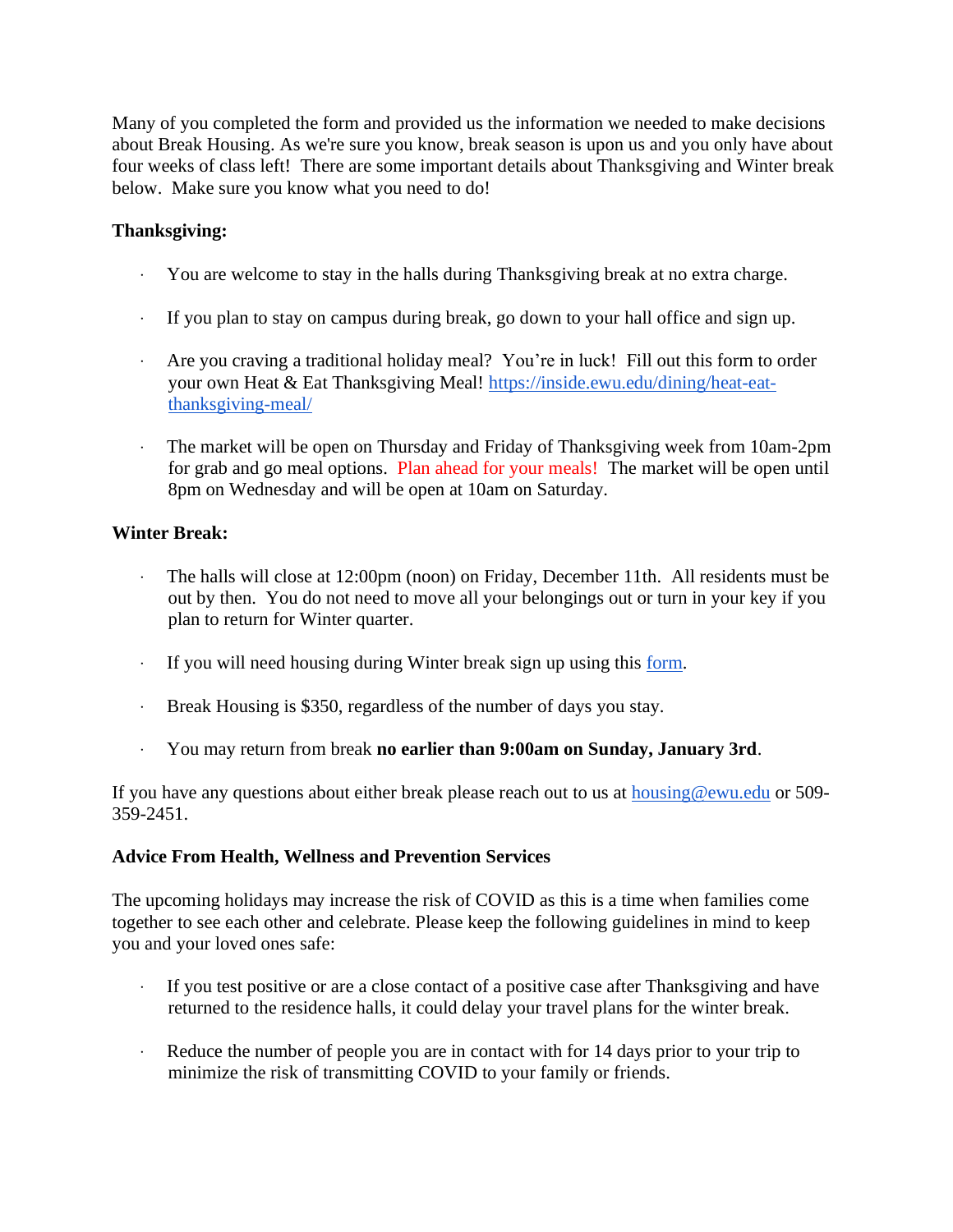Many of you completed the form and provided us the information we needed to make decisions about Break Housing. As we're sure you know, break season is upon us and you only have about four weeks of class left! There are some important details about Thanksgiving and Winter break below. Make sure you know what you need to do!

## **Thanksgiving:**

- · You are welcome to stay in the halls during Thanksgiving break at no extra charge.
- · If you plan to stay on campus during break, go down to your hall office and sign up.
- Are you craving a traditional holiday meal? You're in luck! Fill out this form to order your own Heat & Eat Thanksgiving Meal! [https://inside.ewu.edu/dining/heat-eat](https://inside.ewu.edu/dining/heat-eat-thanksgiving-meal/)[thanksgiving-meal/](https://inside.ewu.edu/dining/heat-eat-thanksgiving-meal/)
- · The market will be open on Thursday and Friday of Thanksgiving week from 10am-2pm for grab and go meal options. Plan ahead for your meals! The market will be open until 8pm on Wednesday and will be open at 10am on Saturday.

## **Winter Break:**

- · The halls will close at 12:00pm (noon) on Friday, December 11th. All residents must be out by then. You do not need to move all your belongings out or turn in your key if you plan to return for Winter quarter.
- · If you will need housing during Winter break sign up using this [form.](https://inside.ewu.edu/housing/winter-break-application-2020-2021/)
- · Break Housing is \$350, regardless of the number of days you stay.
- · You may return from break **no earlier than 9:00am on Sunday, January 3rd**.

If you have any questions about either break please reach out to us at  $housing@ewu.edu$  $housing@ewu.edu$  $housing@ewu.edu$  or 509-</u> 359-2451.

## **Advice From Health, Wellness and Prevention Services**

The upcoming holidays may increase the risk of COVID as this is a time when families come together to see each other and celebrate. Please keep the following guidelines in mind to keep you and your loved ones safe:

- · If you test positive or are a close contact of a positive case after Thanksgiving and have returned to the residence halls, it could delay your travel plans for the winter break.
- Reduce the number of people you are in contact with for 14 days prior to your trip to minimize the risk of transmitting COVID to your family or friends.